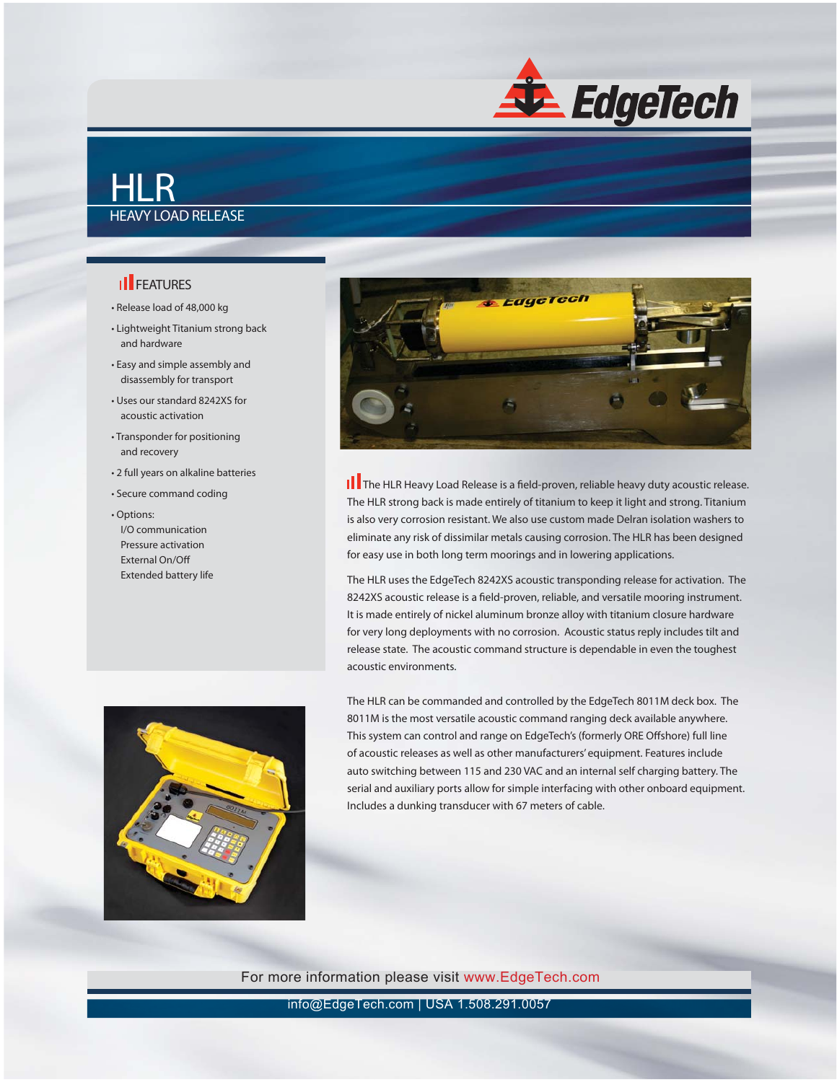

## HLR HEAVY LOAD RELEASE

## **II** FEATURES

- Release load of 48,000 kg
- Lightweight Titanium strong back and hardware
- Easy and simple assembly and disassembly for transport
- Uses our standard 8242XS for acoustic activation
- Transponder for positioning and recovery
- 2 full years on alkaline batteries
- Secure command coding
- Options: I/O communication Pressure activation External On/Off Extended battery life





**||** The HLR Heavy Load Release is a field-proven, reliable heavy duty acoustic release. The HLR strong back is made entirely of titanium to keep it light and strong. Titanium is also very corrosion resistant. We also use custom made Delran isolation washers to eliminate any risk of dissimilar metals causing corrosion. The HLR has been designed for easy use in both long term moorings and in lowering applications.

The HLR uses the EdgeTech 8242XS acoustic transponding release for activation. The 8242XS acoustic release is a field-proven, reliable, and versatile mooring instrument. It is made entirely of nickel aluminum bronze alloy with titanium closure hardware for very long deployments with no corrosion. Acoustic status reply includes tilt and release state. The acoustic command structure is dependable in even the toughest acoustic environments.

The HLR can be commanded and controlled by the EdgeTech 8011M deck box. The 8011M is the most versatile acoustic command ranging deck available anywhere. This system can control and range on EdgeTech's (formerly ORE Offshore) full line of acoustic releases as well as other manufacturers' equipment. Features include auto switching between 115 and 230 VAC and an internal self charging battery. The serial and auxiliary ports allow for simple interfacing with other onboard equipment. Includes a dunking transducer with 67 meters of cable.

For more information please visit www.EdgeTech.com

info@EdgeTech.com | USA 1.508.291.0057